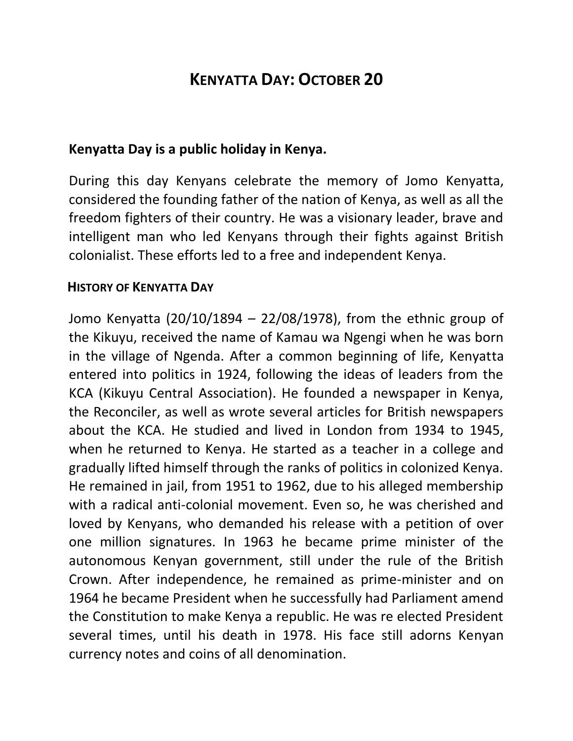## **KENYATTA DAY: OCTOBER 20**

## **Kenyatta Day is a public holiday in Kenya.**

During this day Kenyans celebrate the memory of Jomo Kenyatta, considered the founding father of the nation of Kenya, as well as all the freedom fighters of their country. He was a visionary leader, brave and intelligent man who led Kenyans through their fights against British colonialist. These efforts led to a free and independent Kenya.

## **HISTORY OF KENYATTA DAY**

Jomo Kenyatta (20/10/1894 – 22/08/1978), from the ethnic group of the Kikuyu, received the name of Kamau wa Ngengi when he was born in the village of Ngenda. After a common beginning of life, Kenyatta entered into politics in 1924, following the ideas of leaders from the KCA (Kikuyu Central Association). He founded a newspaper in Kenya, the Reconciler, as well as wrote several articles for British newspapers about the KCA. He studied and lived in London from 1934 to 1945, when he returned to Kenya. He started as a teacher in a college and gradually lifted himself through the ranks of politics in colonized Kenya. He remained in jail, from 1951 to 1962, due to his alleged membership with a radical anti-colonial movement. Even so, he was cherished and loved by Kenyans, who demanded his release with a petition of over one million signatures. In 1963 he became prime minister of the autonomous Kenyan government, still under the rule of the British Crown. After independence, he remained as prime-minister and on 1964 he became President when he successfully had Parliament amend the Constitution to make Kenya a republic. He was re elected President several times, until his death in 1978. His face still adorns Kenyan currency notes and coins of all denomination.